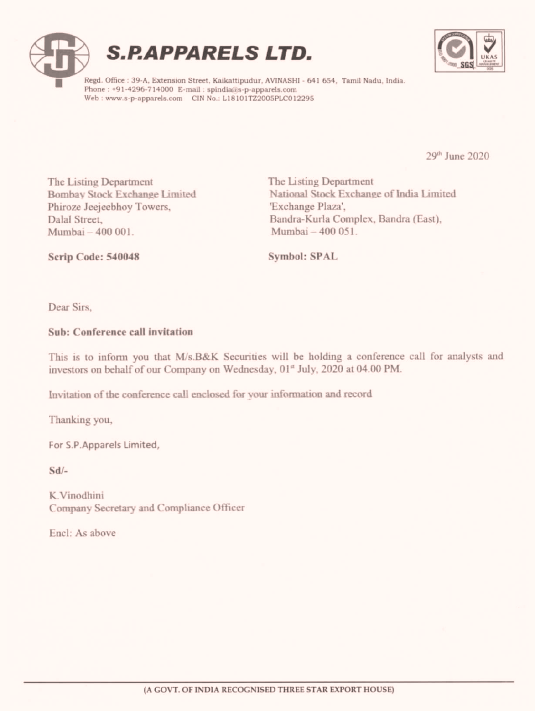



Regd. Office : 39-A, Extension Street, Kaikattipudur, AVINASHI - 641 654, Tamil Nadu, India. Phone : +91-4296-714000 E-mail : spindia@s-p-apparels.com Web: www.s-p-apparels.com CIN No.: L18101TZ2005PLC012295

29" June 2020

The Listing Department The Listing Department Phiroze Jeejeebhoy Towers, 'Exchange Plaza', Mumbai — 400 001. Mumbai — 400 051.

Bombay Stock Exchange Limited National Stock Exchange of India Limited Dalal Street, Bandra-Kurla Complex, Bandra (East),

Scrip Code: 540048 Symbol: SPAL

Dear Sirs,

#### Sub: Conference call invitation

This is to inform you that M/s.B&K Securities will be holding a conference call for analysts and investors on behalf of our Company on Wednesday, 01\* July, 2020 at 04.00 PM. Phiroze Jeejechboy Towers,<br>
Dalal Street, Bandra-Kurla Complex, Bandra-Kurla Complex, Bandra-Kurla Complex, Bandra-Kurla Complex, Bandra-Kurla Complex, Bandra-Kurla Starting Symbol: SPAL<br>
Dear Sirs,<br>
Sub: Conference call i

Invitation of the conference call enclosed for your information and record

Thanking you,

For S.P.Apparels Limited,

Sd/-

K.Vinodhini Company Secretary and Compliance Officer

Encl: As above